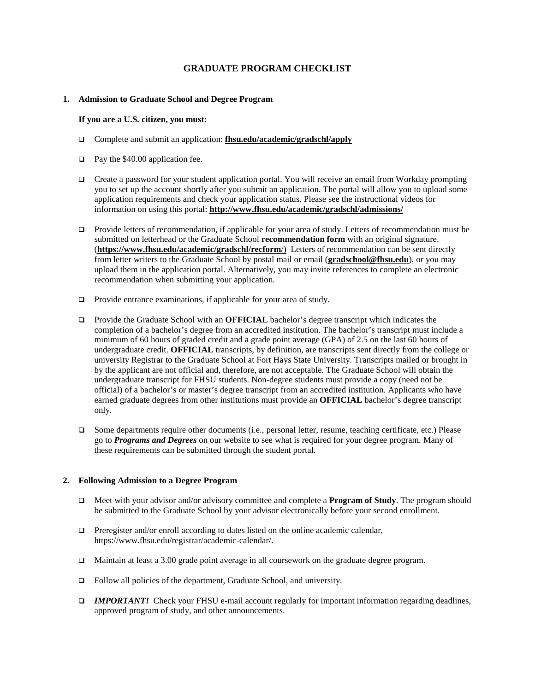# **GRADUATE PROGRAM CHECKLIST**

## **1. Admission to Graduate School and Degree Program**

#### **If you are a U.S. citizen, you must:**

- Complete and submit an application: **fhsu.edu/academic/gradschl/apply**
- $\Box$  Pay the \$40.00 application fee.
- $\Box$  Create a password for your student application portal. You will receive an email from Workday prompting you to set up the account shortly after you submit an application. The portal will allow you to upload some application requirements and check your application status. Please see the instructional videos for information on using this portal: **http://www.fhsu.edu/academic/gradschl/admissions/**
- Provide letters of recommendation, if applicable for your area of study. Letters of recommendation must be submitted on letterhead or the Graduate School **recommendation form** with an original signature. (**https://www.fhsu.edu/academic/gradschl/recform**/) Letters of recommendation can be sent directly from letter writers to the Graduate School by postal mail or email (**gradschool@fhsu.edu**), or you may upload them in the application portal. Alternatively, you may invite references to complete an electronic recommendation when submitting your application.
- $\Box$  Provide entrance examinations, if applicable for your area of study.
- □ Provide the Graduate School with an **OFFICIAL** bachelor's degree transcript which indicates the completion of a bachelor's degree from an accredited institution. The bachelor's transcript must include a minimum of 60 hours of graded credit and a grade point average (GPA) of 2.5 on the last 60 hours of undergraduate credit. **OFFICIAL** transcripts, by definition, are transcripts sent directly from the college or university Registrar to the Graduate School at Fort Hays State University. Transcripts mailed or brought in by the applicant are not official and, therefore, are not acceptable. The Graduate School will obtain the undergraduate transcript for FHSU students. Non-degree students must provide a copy (need not be official) of a bachelor's or master's degree transcript from an accredited institution. Applicants who have earned graduate degrees from other institutions must provide an **OFFICIAL** bachelor's degree transcript only.
- $\Box$  Some departments require other documents (i.e., personal letter, resume, teaching certificate, etc.) Please go to *Programs and Degrees* on our website to see what is required for your degree program. Many of these requirements can be submitted through the student portal.

### **2. Following Admission to a Degree Program**

- Meet with your advisor and/or advisory committee and complete a **Program of Study**. The program should be submitted to the Graduate School by your advisor electronically before your second enrollment.
- $\Box$  Preregister and/or enroll according to dates listed on the online academic calendar, https://www.fhsu.edu/registrar/academic-calendar/.
- Maintain at least a 3.00 grade point average in all coursework on the graduate degree program.
- □ Follow all policies of the department, Graduate School, and university.
- *IMPORTANT!* Check your FHSU e-mail account regularly for important information regarding deadlines, approved program of study, and other announcements.